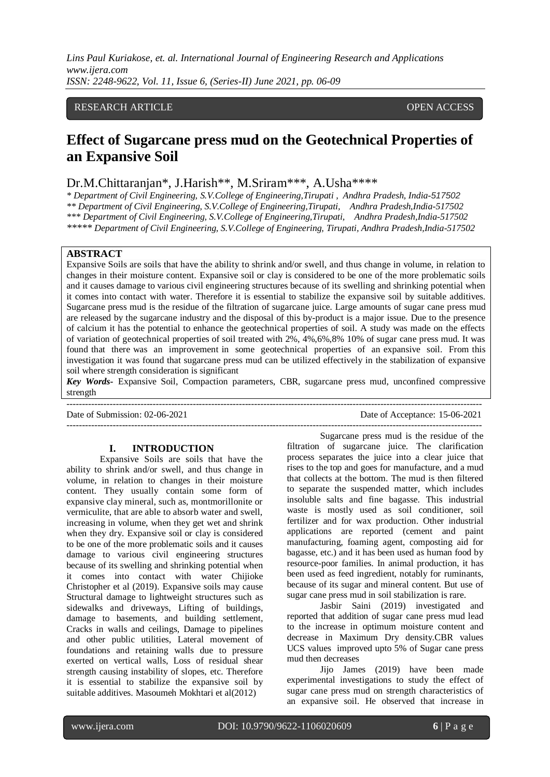*Lins Paul Kuriakose, et. al. International Journal of Engineering Research and Applications www.ijera.com ISSN: 2248-9622, Vol. 11, Issue 6, (Series-II) June 2021, pp. 06-09*

### RESEARCH ARTICLE OPEN ACCESS

# **Effect of Sugarcane press mud on the Geotechnical Properties of an Expansive Soil**

## Dr.M.Chittaranjan\*, J.Harish\*\*, M.Sriram\*\*\*, A.Usha\*\*\*\*

*\* Department of Civil Engineering, S.V.College of Engineering,Tirupati , Andhra Pradesh, India-517502 \*\* Department of Civil Engineering, S.V.College of Engineering,Tirupati, Andhra Pradesh,India-517502 \*\*\* Department of Civil Engineering, S.V.College of Engineering,Tirupati, Andhra Pradesh,India-517502 \*\*\*\*\* Department of Civil Engineering, S.V.College of Engineering, Tirupati, Andhra Pradesh,India-517502*

### **ABSTRACT**

Expansive Soils are soils that have the ability to shrink and/or swell, and thus change in volume, in relation to changes in their moisture content. Expansive soil or clay is considered to be one of the more problematic soils and it causes damage to various civil engineering structures because of its swelling and shrinking potential when it comes into contact with water. Therefore it is essential to stabilize the expansive soil by suitable additives. Sugarcane press mud is the residue of the filtration of sugarcane juice. Large amounts of sugar cane press mud are released by the sugarcane industry and the disposal of this by-product is a major issue. Due to the presence of calcium it has the potential to enhance the geotechnical properties of soil. A study was made on the effects of variation of geotechnical properties of soil treated with 2%, 4%,6%,8% 10% of sugar cane press mud. It was found that there was an improvement in some geotechnical properties of an expansive soil. From this investigation it was found that sugarcane press mud can be utilized effectively in the stabilization of expansive soil where strength consideration is significant

*Key Words-* Expansive Soil, Compaction parameters, CBR, sugarcane press mud, unconfined compressive strength

---------------------------------------------------------------------------------------------------------------------------------------

---------------------------------------------------------------------------------------------------------------------------------------

Date of Submission: 02-06-2021 Date of Acceptance: 15-06-2021

#### **I. INTRODUCTION**

Expansive Soils are soils that have the ability to shrink and/or swell, and thus change in volume, in relation to changes in their moisture content. They usually contain some form of expansive clay mineral, such as, montmorillonite or vermiculite, that are able to absorb water and swell, increasing in volume, when they get wet and shrink when they dry. Expansive soil or clay is considered to be one of the more problematic soils and it causes damage to various civil engineering structures because of its swelling and shrinking potential when it comes into contact with water Chijioke Christopher et al (2019). Expansive soils may cause Structural damage to lightweight structures such as sidewalks and driveways, Lifting of buildings, damage to basements, and building settlement, Cracks in walls and ceilings, Damage to pipelines and other public utilities, Lateral movement of foundations and retaining walls due to pressure exerted on vertical walls, Loss of residual shear strength causing instability of slopes, etc. Therefore it is essential to stabilize the expansive soil by suitable additives. Masoumeh Mokhtari et al(2012)

Sugarcane press mud is the residue of the filtration of sugarcane juice. The clarification process separates the juice into a clear juice that rises to the top and goes for manufacture, and a mud that collects at the bottom. The mud is then filtered to separate the suspended matter, which includes insoluble salts and fine bagasse. This industrial waste is mostly used as soil conditioner, soil fertilizer and for wax production. Other industrial applications are reported (cement and paint manufacturing, foaming agent, composting aid for bagasse, etc.) and it has been used as human food by resource-poor families. In animal production, it has been used as feed ingredient, notably for ruminants, because of its sugar and mineral content. But use of sugar cane press mud in soil stabilization is rare.

Jasbir Saini (2019) investigated and reported that addition of sugar cane press mud lead to the increase in optimum moisture content and decrease in Maximum Dry density.CBR values UCS values improved upto 5% of Sugar cane press mud then decreases

Jijo James (2019) have been made experimental investigations to study the effect of sugar cane press mud on strength characteristics of an expansive soil. He observed that increase in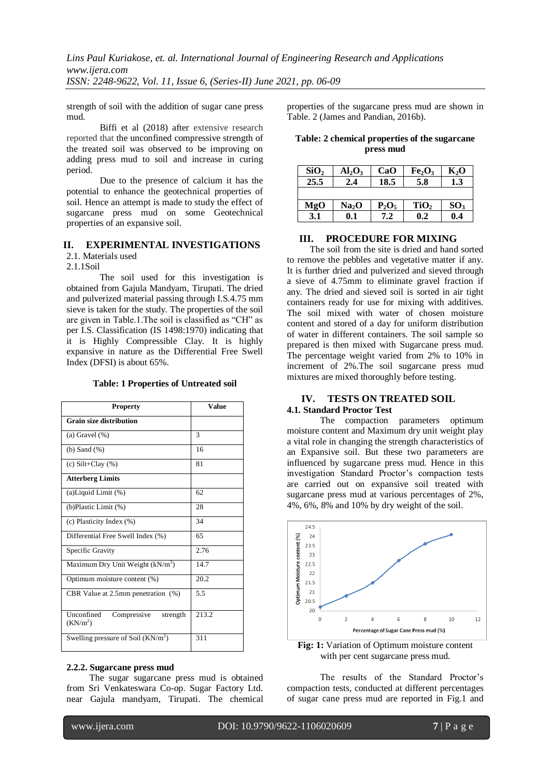*Lins Paul Kuriakose, et. al. International Journal of Engineering Research and Applications www.ijera.com ISSN: 2248-9622, Vol. 11, Issue 6, (Series-II) June 2021, pp. 06-09*

strength of soil with the addition of sugar cane press mud.

Biffi et al (2018) after extensive research reported that the unconfined compressive strength of the treated soil was observed to be improving on adding press mud to soil and increase in curing period.

Due to the presence of calcium it has the potential to enhance the geotechnical properties of soil. Hence an attempt is made to study the effect of sugarcane press mud on some Geotechnical properties of an expansive soil.

#### **II. EXPERIMENTAL INVESTIGATIONS**

2.1. Materials used

2.1.1Soil

The soil used for this investigation is obtained from Gajula Mandyam, Tirupati. The dried and pulverized material passing through I.S.4.75 mm sieve is taken for the study. The properties of the soil are given in Table.1.The soil is classified as "CH" as per I.S. Classification (IS 1498:1970) indicating that it is Highly Compressible Clay. It is highly expansive in nature as the Differential Free Swell Index (DFSI) is about 65%.

**Table: 1 Properties of Untreated soil**

| <b>Property</b>                                               | Value |
|---------------------------------------------------------------|-------|
| <b>Grain size distribution</b>                                |       |
| (a) Gravel $(\%)$                                             | 3     |
| $(b)$ Sand $(\%)$                                             | 16    |
| (c) Silt+Clay $(\%)$                                          | 81    |
| <b>Atterberg Limits</b>                                       |       |
| $(a)$ Liquid Limit $(\%)$                                     | 62    |
| (b) Plastic Limit (%)                                         | 28    |
| (c) Plasticity Index (%)                                      | 34    |
| Differential Free Swell Index (%)                             | 65    |
| Specific Gravity                                              | 2.76  |
| Maximum Dry Unit Weight $(kN/m3)$                             | 14.7  |
| Optimum moisture content (%)                                  | 20.2  |
| CBR Value at 2.5mm penetration (%)                            | 5.5   |
| Unconfined<br>Compressive<br>strength<br>(KN/m <sup>2</sup> ) | 213.2 |
| Swelling pressure of Soil $(KN/m2)$                           | 311   |

#### **2.2.2. Sugarcane press mud**

 The sugar sugarcane press mud is obtained from Sri Venkateswara Co-op. Sugar Factory Ltd. near Gajula mandyam, Tirupati. The chemical

properties of the sugarcane press mud are shown in Table. 2 (James and Pandian, 2016b).

**Table: 2 chemical properties of the sugarcane press mud**

| SiO <sub>2</sub> | $Al_2O_3$         | CaO      | Fe <sub>2</sub> O <sub>3</sub> | $K_2O$          |
|------------------|-------------------|----------|--------------------------------|-----------------|
| 25.5             | 2.4               | 18.5     | 5.8                            | 1.3             |
|                  |                   |          |                                |                 |
| MgO              | Na <sub>2</sub> O | $P_2O_5$ | TiO <sub>2</sub>               | SO <sub>3</sub> |
| 3.1              | 0.1               | 7.2      | 0.2                            | 0.4             |

#### **III. PROCEDURE FOR MIXING**

 The soil from the site is dried and hand sorted to remove the pebbles and vegetative matter if any. It is further dried and pulverized and sieved through a sieve of 4.75mm to eliminate gravel fraction if any. The dried and sieved soil is sorted in air tight containers ready for use for mixing with additives. The soil mixed with water of chosen moisture content and stored of a day for uniform distribution of water in different containers. The soil sample so prepared is then mixed with Sugarcane press mud. The percentage weight varied from 2% to 10% in increment of 2%.The soil sugarcane press mud mixtures are mixed thoroughly before testing.

#### **IV. TESTS ON TREATED SOIL**

#### **4.1. Standard Proctor Test**

The compaction parameters optimum moisture content and Maximum dry unit weight play a vital role in changing the strength characteristics of an Expansive soil. But these two parameters are influenced by sugarcane press mud. Hence in this investigation Standard Proctor's compaction tests are carried out on expansive soil treated with sugarcane press mud at various percentages of 2%, 4%, 6%, 8% and 10% by dry weight of the soil.



with per cent sugarcane press mud.

The results of the Standard Proctor's compaction tests, conducted at different percentages of sugar cane press mud are reported in Fig.1 and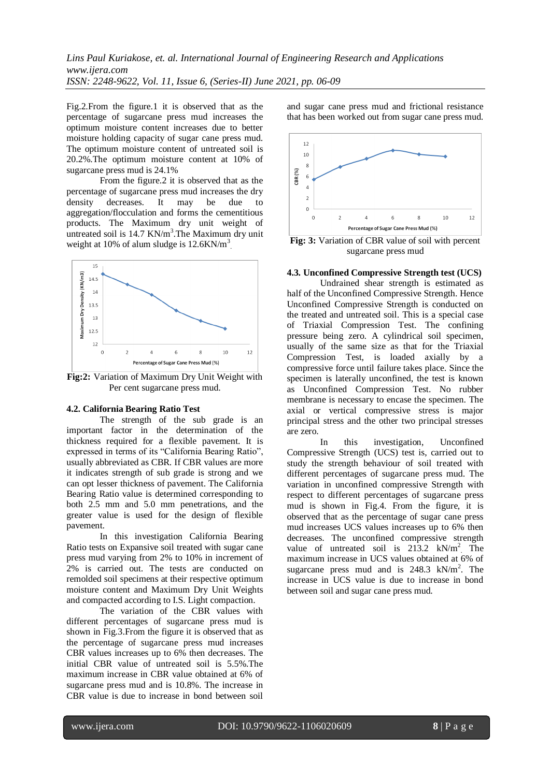*Lins Paul Kuriakose, et. al. International Journal of Engineering Research and Applications www.ijera.com ISSN: 2248-9622, Vol. 11, Issue 6, (Series-II) June 2021, pp. 06-09*

Fig.2.From the figure.1 it is observed that as the percentage of sugarcane press mud increases the optimum moisture content increases due to better moisture holding capacity of sugar cane press mud. The optimum moisture content of untreated soil is 20.2%.The optimum moisture content at 10% of sugarcane press mud is 24.1%

From the figure.2 it is observed that as the percentage of sugarcane press mud increases the dry density decreases. It may be due to aggregation/flocculation and forms the cementitious products. The Maximum dry unit weight of untreated soil is 14.7 KN/m<sup>3</sup>. The Maximum dry unit weight at 10% of alum sludge is  $12.6 \text{KN/m}^3$ .



**Fig:2:** Variation of Maximum Dry Unit Weight with Per cent sugarcane press mud.

#### **4.2. California Bearing Ratio Test**

The strength of the sub grade is an important factor in the determination of the thickness required for a flexible pavement. It is expressed in terms of its "California Bearing Ratio", usually abbreviated as CBR. If CBR values are more it indicates strength of sub grade is strong and we can opt lesser thickness of pavement. The California Bearing Ratio value is determined corresponding to both 2.5 mm and 5.0 mm penetrations, and the greater value is used for the design of flexible pavement.

In this investigation California Bearing Ratio tests on Expansive soil treated with sugar cane press mud varying from 2% to 10% in increment of 2% is carried out. The tests are conducted on remolded soil specimens at their respective optimum moisture content and Maximum Dry Unit Weights and compacted according to I.S. Light compaction.

The variation of the CBR values with different percentages of sugarcane press mud is shown in Fig.3.From the figure it is observed that as the percentage of sugarcane press mud increases CBR values increases up to 6% then decreases. The initial CBR value of untreated soil is 5.5%.The maximum increase in CBR value obtained at 6% of sugarcane press mud and is 10.8%. The increase in CBR value is due to increase in bond between soil

and sugar cane press mud and frictional resistance that has been worked out from sugar cane press mud.



**Fig: 3:** Variation of CBR value of soil with percent sugarcane press mud

#### **4.3. Unconfined Compressive Strength test (UCS)**

Undrained shear strength is estimated as half of the Unconfined Compressive Strength. Hence Unconfined Compressive Strength is conducted on the treated and untreated soil. This is a special case of Triaxial Compression Test. The confining pressure being zero. A cylindrical soil specimen, usually of the same size as that for the Triaxial Compression Test, is loaded axially by a compressive force until failure takes place. Since the specimen is laterally unconfined, the test is known as Unconfined Compression Test. No rubber membrane is necessary to encase the specimen. The axial or vertical compressive stress is major principal stress and the other two principal stresses are zero.

In this investigation, Unconfined Compressive Strength (UCS) test is, carried out to study the strength behaviour of soil treated with different percentages of sugarcane press mud. The variation in unconfined compressive Strength with respect to different percentages of sugarcane press mud is shown in Fig.4. From the figure, it is observed that as the percentage of sugar cane press mud increases UCS values increases up to 6% then decreases. The unconfined compressive strength value of untreated soil is  $213.2$  kN/m<sup>2</sup>. The maximum increase in UCS values obtained at 6% of sugarcane press mud and is  $248.3$  kN/m<sup>2</sup>. The increase in UCS value is due to increase in bond between soil and sugar cane press mud.